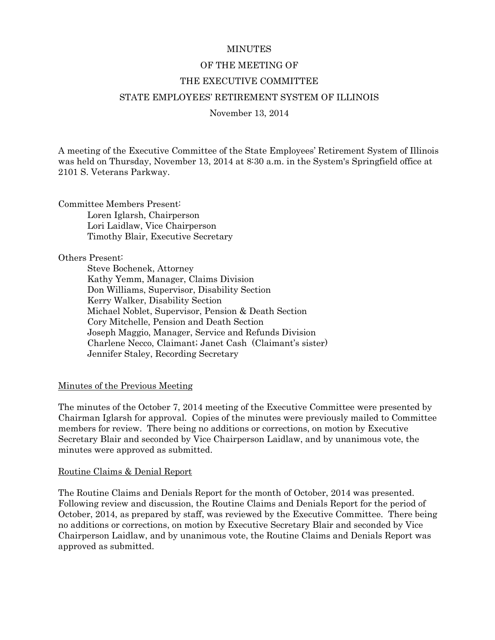#### **MINUTES**

#### OF THE MEETING OF

#### THE EXECUTIVE COMMITTEE

#### STATE EMPLOYEES' RETIREMENT SYSTEM OF ILLINOIS

November 13, 2014

A meeting of the Executive Committee of the State Employees' Retirement System of Illinois was held on Thursday, November 13, 2014 at 8:30 a.m. in the System's Springfield office at 2101 S. Veterans Parkway.

Committee Members Present: Loren Iglarsh, Chairperson Lori Laidlaw, Vice Chairperson Timothy Blair, Executive Secretary

Others Present:

Steve Bochenek, Attorney Kathy Yemm, Manager, Claims Division Don Williams, Supervisor, Disability Section Kerry Walker, Disability Section Michael Noblet, Supervisor, Pension & Death Section Cory Mitchelle, Pension and Death Section Joseph Maggio, Manager, Service and Refunds Division Charlene Necco, Claimant; Janet Cash (Claimant's sister) Jennifer Staley, Recording Secretary

#### Minutes of the Previous Meeting

The minutes of the October 7, 2014 meeting of the Executive Committee were presented by Chairman Iglarsh for approval. Copies of the minutes were previously mailed to Committee members for review. There being no additions or corrections, on motion by Executive Secretary Blair and seconded by Vice Chairperson Laidlaw, and by unanimous vote, the minutes were approved as submitted.

#### Routine Claims & Denial Report

The Routine Claims and Denials Report for the month of October, 2014 was presented. Following review and discussion, the Routine Claims and Denials Report for the period of October, 2014, as prepared by staff, was reviewed by the Executive Committee. There being no additions or corrections, on motion by Executive Secretary Blair and seconded by Vice Chairperson Laidlaw, and by unanimous vote, the Routine Claims and Denials Report was approved as submitted.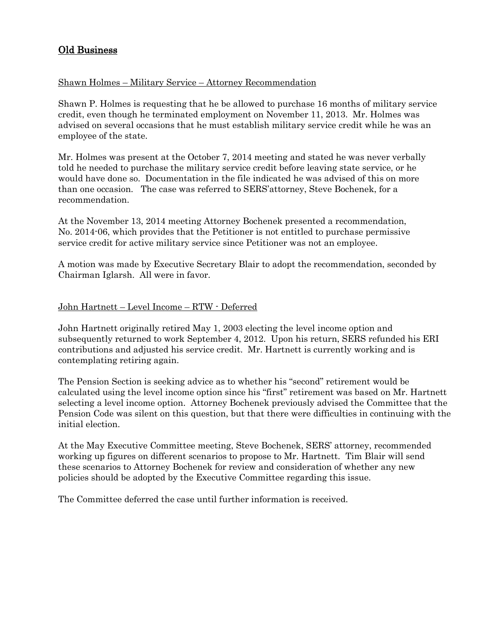# Old Business

# Shawn Holmes – Military Service – Attorney Recommendation

Shawn P. Holmes is requesting that he be allowed to purchase 16 months of military service credit, even though he terminated employment on November 11, 2013. Mr. Holmes was advised on several occasions that he must establish military service credit while he was an employee of the state.

Mr. Holmes was present at the October 7, 2014 meeting and stated he was never verbally told he needed to purchase the military service credit before leaving state service, or he would have done so. Documentation in the file indicated he was advised of this on more than one occasion. The case was referred to SERS'attorney, Steve Bochenek, for a recommendation.

At the November 13, 2014 meeting Attorney Bochenek presented a recommendation, No. 2014-06, which provides that the Petitioner is not entitled to purchase permissive service credit for active military service since Petitioner was not an employee.

A motion was made by Executive Secretary Blair to adopt the recommendation, seconded by Chairman Iglarsh. All were in favor.

## John Hartnett – Level Income – RTW - Deferred

John Hartnett originally retired May 1, 2003 electing the level income option and subsequently returned to work September 4, 2012. Upon his return, SERS refunded his ERI contributions and adjusted his service credit. Mr. Hartnett is currently working and is contemplating retiring again.

The Pension Section is seeking advice as to whether his "second" retirement would be calculated using the level income option since his "first" retirement was based on Mr. Hartnett selecting a level income option. Attorney Bochenek previously advised the Committee that the Pension Code was silent on this question, but that there were difficulties in continuing with the initial election.

At the May Executive Committee meeting, Steve Bochenek, SERS' attorney, recommended working up figures on different scenarios to propose to Mr. Hartnett. Tim Blair will send these scenarios to Attorney Bochenek for review and consideration of whether any new policies should be adopted by the Executive Committee regarding this issue.

The Committee deferred the case until further information is received.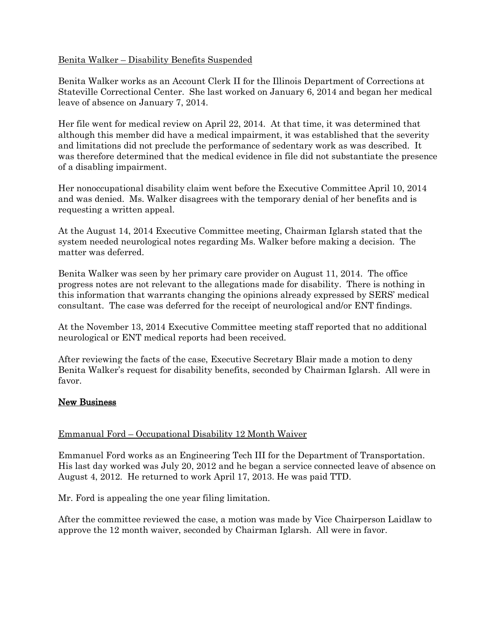## Benita Walker – Disability Benefits Suspended

Benita Walker works as an Account Clerk II for the Illinois Department of Corrections at Stateville Correctional Center. She last worked on January 6, 2014 and began her medical leave of absence on January 7, 2014.

Her file went for medical review on April 22, 2014. At that time, it was determined that although this member did have a medical impairment, it was established that the severity and limitations did not preclude the performance of sedentary work as was described. It was therefore determined that the medical evidence in file did not substantiate the presence of a disabling impairment.

Her nonoccupational disability claim went before the Executive Committee April 10, 2014 and was denied. Ms. Walker disagrees with the temporary denial of her benefits and is requesting a written appeal.

At the August 14, 2014 Executive Committee meeting, Chairman Iglarsh stated that the system needed neurological notes regarding Ms. Walker before making a decision. The matter was deferred.

Benita Walker was seen by her primary care provider on August 11, 2014. The office progress notes are not relevant to the allegations made for disability. There is nothing in this information that warrants changing the opinions already expressed by SERS' medical consultant. The case was deferred for the receipt of neurological and/or ENT findings.

At the November 13, 2014 Executive Committee meeting staff reported that no additional neurological or ENT medical reports had been received.

After reviewing the facts of the case, Executive Secretary Blair made a motion to deny Benita Walker's request for disability benefits, seconded by Chairman Iglarsh. All were in favor.

## New Business

## Emmanual Ford – Occupational Disability 12 Month Waiver

Emmanuel Ford works as an Engineering Tech III for the Department of Transportation. His last day worked was July 20, 2012 and he began a service connected leave of absence on August 4, 2012. He returned to work April 17, 2013. He was paid TTD.

Mr. Ford is appealing the one year filing limitation.

After the committee reviewed the case, a motion was made by Vice Chairperson Laidlaw to approve the 12 month waiver, seconded by Chairman Iglarsh. All were in favor.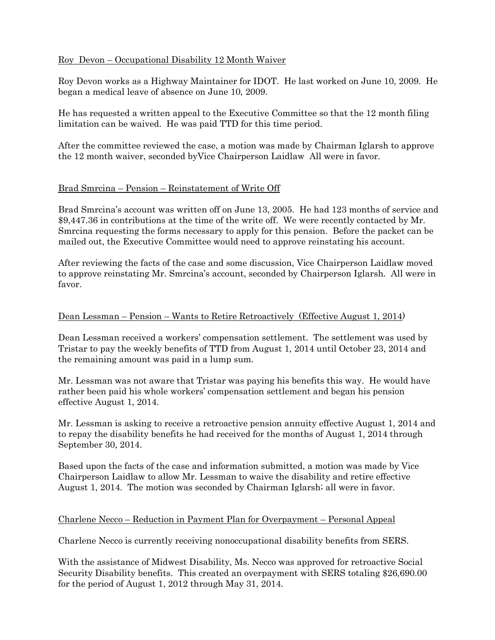# Roy Devon – Occupational Disability 12 Month Waiver

Roy Devon works as a Highway Maintainer for IDOT. He last worked on June 10, 2009. He began a medical leave of absence on June 10, 2009.

He has requested a written appeal to the Executive Committee so that the 12 month filing limitation can be waived. He was paid TTD for this time period.

After the committee reviewed the case, a motion was made by Chairman Iglarsh to approve the 12 month waiver, seconded byVice Chairperson Laidlaw All were in favor.

## Brad Smrcina – Pension – Reinstatement of Write Off

Brad Smrcina's account was written off on June 13, 2005. He had 123 months of service and \$9,447.36 in contributions at the time of the write off. We were recently contacted by Mr. Smrcina requesting the forms necessary to apply for this pension. Before the packet can be mailed out, the Executive Committee would need to approve reinstating his account.

After reviewing the facts of the case and some discussion, Vice Chairperson Laidlaw moved to approve reinstating Mr. Smrcina's account, seconded by Chairperson Iglarsh. All were in favor.

# Dean Lessman – Pension – Wants to Retire Retroactively (Effective August 1, 2014)

Dean Lessman received a workers' compensation settlement. The settlement was used by Tristar to pay the weekly benefits of TTD from August 1, 2014 until October 23, 2014 and the remaining amount was paid in a lump sum.

Mr. Lessman was not aware that Tristar was paying his benefits this way. He would have rather been paid his whole workers' compensation settlement and began his pension effective August 1, 2014.

Mr. Lessman is asking to receive a retroactive pension annuity effective August 1, 2014 and to repay the disability benefits he had received for the months of August 1, 2014 through September 30, 2014.

Based upon the facts of the case and information submitted, a motion was made by Vice Chairperson Laidlaw to allow Mr. Lessman to waive the disability and retire effective August 1, 2014. The motion was seconded by Chairman Iglarsh; all were in favor.

## Charlene Necco – Reduction in Payment Plan for Overpayment – Personal Appeal

Charlene Necco is currently receiving nonoccupational disability benefits from SERS.

With the assistance of Midwest Disability, Ms. Necco was approved for retroactive Social Security Disability benefits. This created an overpayment with SERS totaling \$26,690.00 for the period of August 1, 2012 through May 31, 2014.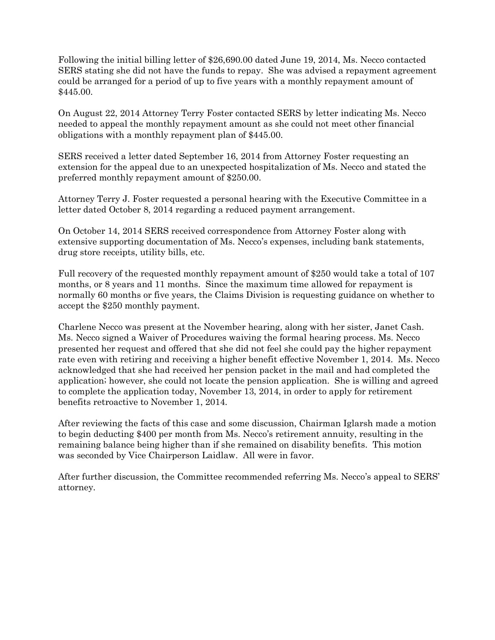Following the initial billing letter of \$26,690.00 dated June 19, 2014, Ms. Necco contacted SERS stating she did not have the funds to repay. She was advised a repayment agreement could be arranged for a period of up to five years with a monthly repayment amount of \$445.00.

On August 22, 2014 Attorney Terry Foster contacted SERS by letter indicating Ms. Necco needed to appeal the monthly repayment amount as she could not meet other financial obligations with a monthly repayment plan of \$445.00.

SERS received a letter dated September 16, 2014 from Attorney Foster requesting an extension for the appeal due to an unexpected hospitalization of Ms. Necco and stated the preferred monthly repayment amount of \$250.00.

Attorney Terry J. Foster requested a personal hearing with the Executive Committee in a letter dated October 8, 2014 regarding a reduced payment arrangement.

On October 14, 2014 SERS received correspondence from Attorney Foster along with extensive supporting documentation of Ms. Necco's expenses, including bank statements, drug store receipts, utility bills, etc.

Full recovery of the requested monthly repayment amount of \$250 would take a total of 107 months, or 8 years and 11 months. Since the maximum time allowed for repayment is normally 60 months or five years, the Claims Division is requesting guidance on whether to accept the \$250 monthly payment.

Charlene Necco was present at the November hearing, along with her sister, Janet Cash. Ms. Necco signed a Waiver of Procedures waiving the formal hearing process. Ms. Necco presented her request and offered that she did not feel she could pay the higher repayment rate even with retiring and receiving a higher benefit effective November 1, 2014. Ms. Necco acknowledged that she had received her pension packet in the mail and had completed the application; however, she could not locate the pension application. She is willing and agreed to complete the application today, November 13, 2014, in order to apply for retirement benefits retroactive to November 1, 2014.

After reviewing the facts of this case and some discussion, Chairman Iglarsh made a motion to begin deducting \$400 per month from Ms. Necco's retirement annuity, resulting in the remaining balance being higher than if she remained on disability benefits. This motion was seconded by Vice Chairperson Laidlaw. All were in favor.

After further discussion, the Committee recommended referring Ms. Necco's appeal to SERS' attorney.